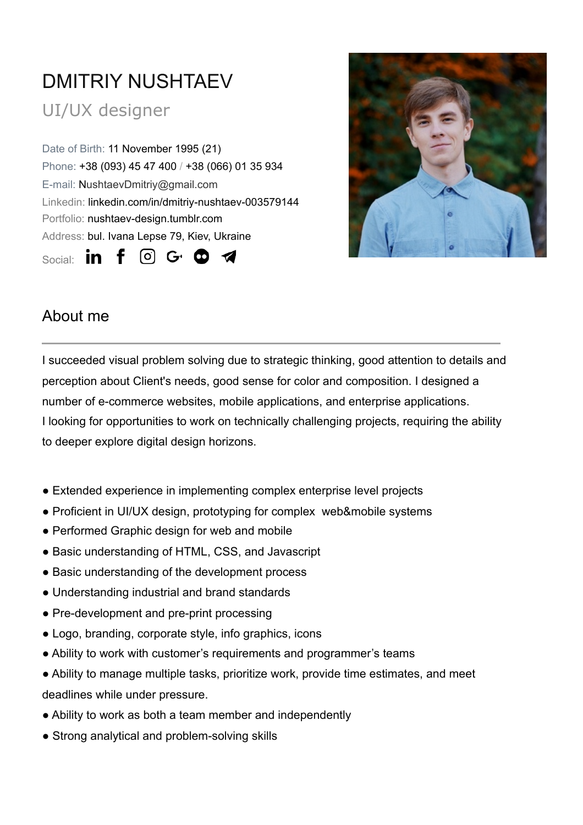# DMITRIY NUSHTAEV

# UI/UX designer

Date of Birth: 11 November 1995 (21) Phone: +38 (093) 45 47 400 / +38 (066) 01 35 934 E-mail: NushtaevDmitriy@gmail.com Linkedin: linkedin.com/in/dmitriy-nushtaev-003579144 Portfolio: nushtaev-design.tumblr.com Address: bul. Ivana Lepse 79, Kiev, Ukraine Social: **in**  $f$  $\circ$   $\circ$   $\bullet$ 



### About me

I succeeded visual problem solving due to strategic thinking, good attention to details and perception about Client's needs, good sense for color and composition. I designed a number of e-commerce websites, mobile applications, and enterprise applications. I looking for opportunities to work on technically challenging projects, requiring the ability to deeper explore digital design horizons.

- Extended experience in implementing complex enterprise level projects
- Proficient in UI/UX design, prototyping for complex web&mobile systems
- Performed Graphic design for web and mobile
- Basic understanding of HTML, CSS, and Javascript
- Basic understanding of the development process
- Understanding industrial and brand standards
- Pre-development and pre-print processing
- Logo, branding, corporate style, info graphics, icons
- Ability to work with customer's requirements and programmer's teams
- Ability to manage multiple tasks, prioritize work, provide time estimates, and meet deadlines while under pressure.
- Ability to work as both a team member and independently
- Strong analytical and problem-solving skills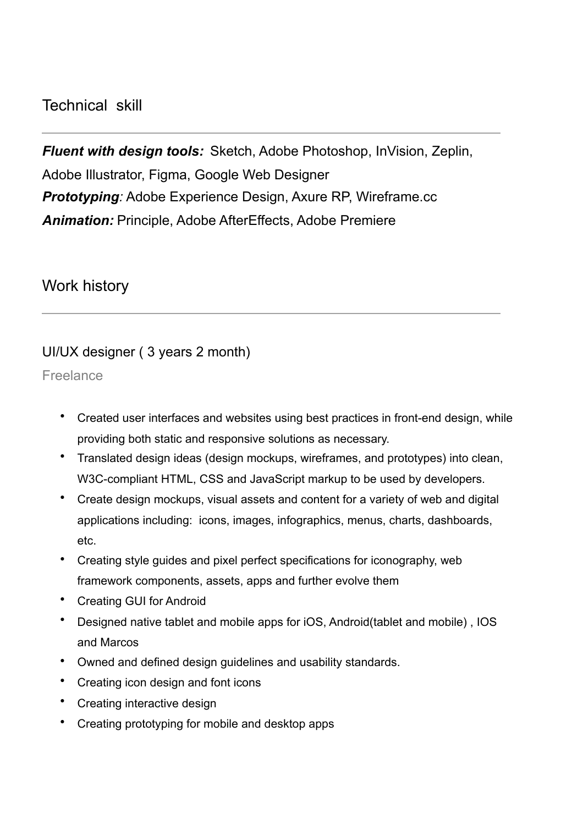#### Technical skill

*Fluent with design tools:* Sketch, Adobe Photoshop, InVision, Zeplin, Adobe Illustrator, Figma, Google Web Designer *Prototyping:* Adobe Experience Design, Axure RP, Wireframe.cc *Animation:* Principle, Adobe AfterEffects, Adobe Premiere

#### Work history

#### UI/UX designer ( 3 years 2 month)

Freelance

- Created user interfaces and websites using best practices in front-end design, while providing both static and responsive solutions as necessary.
- Translated design ideas (design mockups, wireframes, and prototypes) into clean, W3C-compliant HTML, CSS and JavaScript markup to be used by developers.
- Create design mockups, visual assets and content for a variety of web and digital applications including: icons, images, infographics, menus, charts, dashboards, etc.
- Creating style guides and pixel perfect specifications for iconography, web framework components, assets, apps and further evolve them
- Creating GUI for Android
- Designed native tablet and mobile apps for iOS, Android(tablet and mobile) , IOS and Marcos
- Owned and defined design guidelines and usability standards.
- Creating icon design and font icons
- Creating interactive design
- Creating prototyping for mobile and desktop apps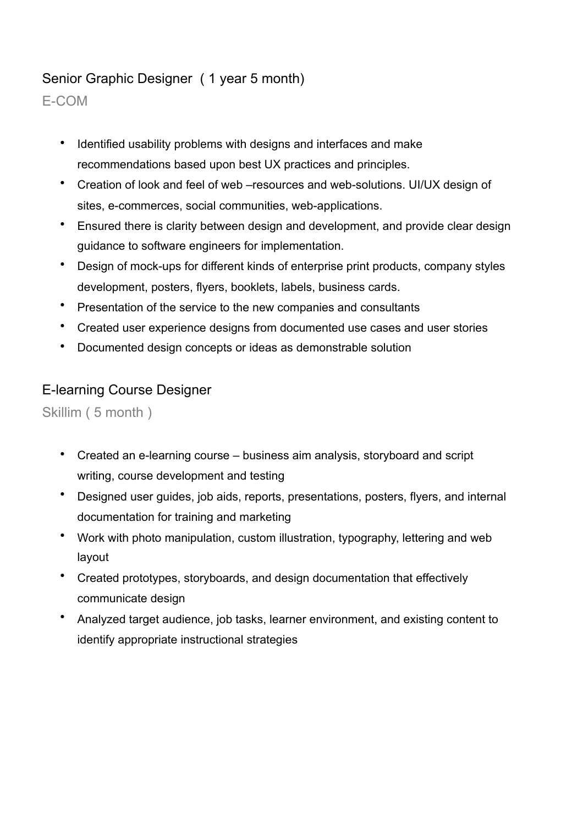#### Senior Graphic Designer ( 1 year 5 month)

E-COM

- Identified usability problems with designs and interfaces and make recommendations based upon best UX practices and principles.
- Creation of look and feel of web –resources and web-solutions. UI/UX design of sites, e-commerces, social communities, web-applications.
- Ensured there is clarity between design and development, and provide clear design guidance to software engineers for implementation.
- Design of mock-ups for different kinds of enterprise print products, company styles development, posters, flyers, booklets, labels, business cards.
- Presentation of the service to the new companies and consultants
- Created user experience designs from documented use cases and user stories
- Documented design concepts or ideas as demonstrable solution

#### E-learning Course Designer

Skillim ( 5 month )

- Created an e-learning course business aim analysis, storyboard and script writing, course development and testing
- Designed user guides, job aids, reports, presentations, posters, flyers, and internal documentation for training and marketing
- Work with photo manipulation, custom illustration, typography, lettering and web layout
- Created prototypes, storyboards, and design documentation that effectively communicate design
- Analyzed target audience, job tasks, learner environment, and existing content to identify appropriate instructional strategies